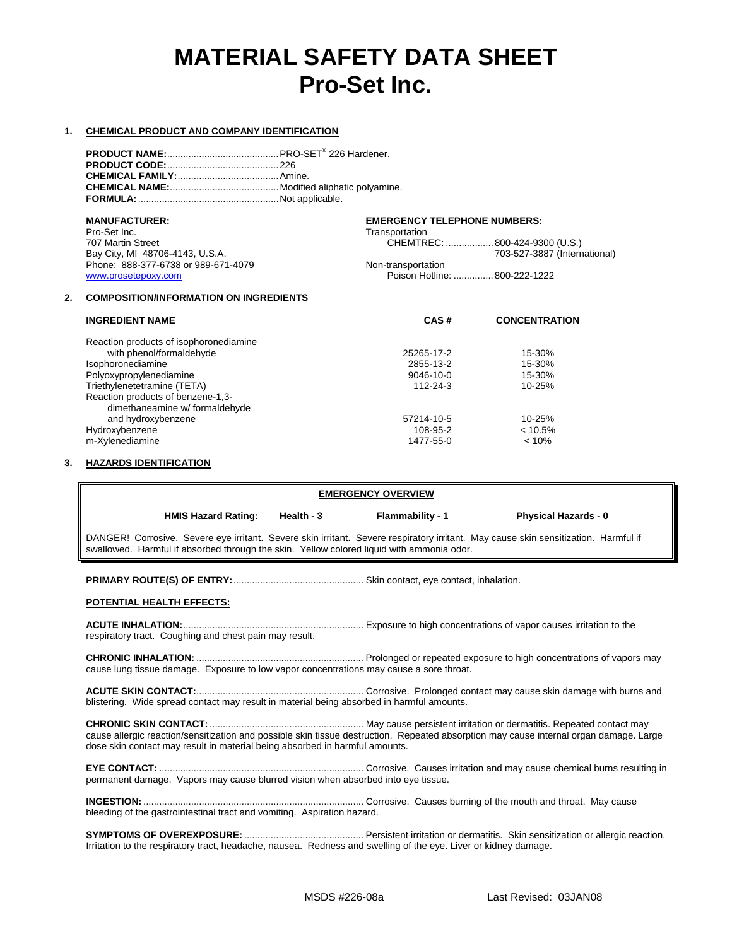# **MATERIAL SAFETY DATA SHEET Pro-Set Inc.**

#### **1. CHEMICAL PRODUCT AND COMPANY IDENTIFICATION**

|    | <b>MANUFACTURER:</b>                                                | <b>EMERGENCY TELEPHONE NUMBERS:</b> |                               |
|----|---------------------------------------------------------------------|-------------------------------------|-------------------------------|
|    | Pro-Set Inc.                                                        | Transportation                      |                               |
|    | 707 Martin Street                                                   |                                     | CHEMTREC: 800-424-9300 (U.S.) |
|    | Bay City, MI 48706-4143, U.S.A.                                     |                                     | 703-527-3887 (International)  |
|    | Phone: 888-377-6738 or 989-671-4079                                 | Non-transportation                  |                               |
|    | www.prosetepoxy.com                                                 | Poison Hotline:  800-222-1222       |                               |
| 2. | <b>COMPOSITION/INFORMATION ON INGREDIENTS</b>                       |                                     |                               |
|    | <b>INGREDIENT NAME</b>                                              | CAS#                                | <b>CONCENTRATION</b>          |
|    | Reaction products of isophoronediamine                              |                                     |                               |
|    | with phenol/formaldehyde                                            | 25265-17-2                          | 15-30%                        |
|    | Isophoronediamine                                                   | 2855-13-2                           | 15-30%                        |
|    | Polyoxypropylenediamine                                             | $9046 - 10 - 0$                     | 15-30%                        |
|    | Triethylenetetramine (TETA)                                         | 112-24-3                            | 10-25%                        |
|    | Reaction products of benzene-1,3-<br>dimethaneamine w/ formaldehyde |                                     |                               |
|    | and hydroxybenzene                                                  | 57214-10-5                          | 10-25%                        |

Hydroxybenzene 108-95-2 < 10.5% m-Xylenediamine 1477-55-0 < 10%

#### **3. HAZARDS IDENTIFICATION**

## **EMERGENCY OVERVIEW HMIS Hazard Rating: Health - 3 Flammability - 1 Physical Hazards - 0** DANGER! Corrosive. Severe eye irritant. Severe skin irritant. Severe respiratory irritant. May cause skin sensitization. Harmful if swallowed. Harmful if absorbed through the skin. Yellow colored liquid with ammonia odor.

**PRIMARY ROUTE(S) OF ENTRY:**................................................. Skin contact, eye contact, inhalation.

#### **POTENTIAL HEALTH EFFECTS:**

**ACUTE INHALATION:**.................................................................... Exposure to high concentrations of vapor causes irritation to the respiratory tract. Coughing and chest pain may result.

**CHRONIC INHALATION:** ............................................................... Prolonged or repeated exposure to high concentrations of vapors may cause lung tissue damage. Exposure to low vapor concentrations may cause a sore throat.

**ACUTE SKIN CONTACT:**............................................................... Corrosive. Prolonged contact may cause skin damage with burns and blistering. Wide spread contact may result in material being absorbed in harmful amounts.

**CHRONIC SKIN CONTACT:**.......................................................... May cause persistent irritation or dermatitis. Repeated contact may cause allergic reaction/sensitization and possible skin tissue destruction. Repeated absorption may cause internal organ damage. Large dose skin contact may result in material being absorbed in harmful amounts.

**EYE CONTACT:** ............................................................................. Corrosive. Causes irritation and may cause chemical burns resulting in permanent damage. Vapors may cause blurred vision when absorbed into eye tissue.

**INGESTION:** ................................................................................... Corrosive. Causes burning of the mouth and throat. May cause bleeding of the gastrointestinal tract and vomiting. Aspiration hazard.

**SYMPTOMS OF OVEREXPOSURE:** ............................................. Persistent irritation or dermatitis. Skin sensitization or allergic reaction. Irritation to the respiratory tract, headache, nausea. Redness and swelling of the eye. Liver or kidney damage.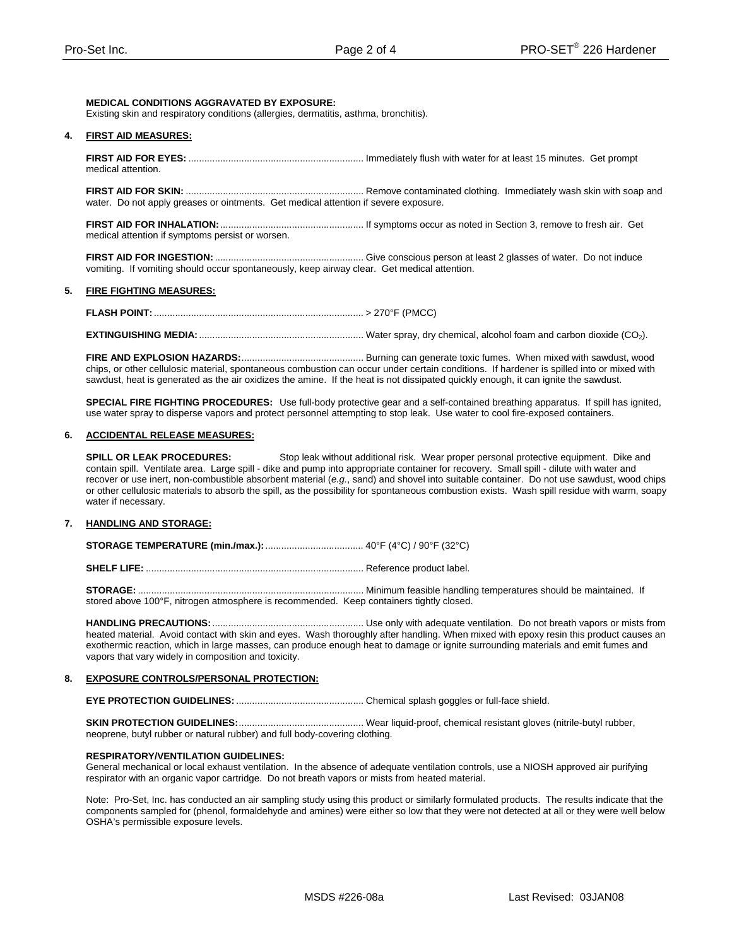#### **MEDICAL CONDITIONS AGGRAVATED BY EXPOSURE:**

Existing skin and respiratory conditions (allergies, dermatitis, asthma, bronchitis).

#### **4. FIRST AID MEASURES:**

**FIRST AID FOR EYES:** .................................................................. Immediately flush with water for at least 15 minutes. Get prompt medical attention.

**FIRST AID FOR SKIN:** ................................................................... Remove contaminated clothing. Immediately wash skin with soap and water. Do not apply greases or ointments. Get medical attention if severe exposure.

**FIRST AID FOR INHALATION:**...................................................... If symptoms occur as noted in Section 3, remove to fresh air. Get medical attention if symptoms persist or worsen.

**FIRST AID FOR INGESTION:**........................................................ Give conscious person at least 2 glasses of water. Do not induce vomiting. If vomiting should occur spontaneously, keep airway clear. Get medical attention.

#### **5. FIRE FIGHTING MEASURES:**

**FLASH POINT:**............................................................................... > 270°F (PMCC)

**EXTINGUISHING MEDIA:**.............................................................. Water spray, dry chemical, alcohol foam and carbon dioxide (CO2).

**FIRE AND EXPLOSION HAZARDS:**.............................................. Burning can generate toxic fumes. When mixed with sawdust, wood chips, or other cellulosic material, spontaneous combustion can occur under certain conditions. If hardener is spilled into or mixed with sawdust, heat is generated as the air oxidizes the amine. If the heat is not dissipated quickly enough, it can ignite the sawdust.

**SPECIAL FIRE FIGHTING PROCEDURES:** Use full-body protective gear and a self-contained breathing apparatus. If spill has ignited, use water spray to disperse vapors and protect personnel attempting to stop leak. Use water to cool fire-exposed containers.

## **6. ACCIDENTAL RELEASE MEASURES:**

**SPILL OR LEAK PROCEDURES:** Stop leak without additional risk. Wear proper personal protective equipment. Dike and contain spill. Ventilate area. Large spill - dike and pump into appropriate container for recovery. Small spill - dilute with water and recover or use inert, non-combustible absorbent material (*e.g.*, sand) and shovel into suitable container. Do not use sawdust, wood chips or other cellulosic materials to absorb the spill, as the possibility for spontaneous combustion exists. Wash spill residue with warm, soapy water if necessary.

#### **7. HANDLING AND STORAGE:**

**STORAGE TEMPERATURE (min./max.):**..................................... 40°F (4°C) / 90°F (32°C)

**SHELF LIFE:** .................................................................................. Reference product label.

**STORAGE:** ..................................................................................... Minimum feasible handling temperatures should be maintained. If stored above 100°F, nitrogen atmosphere is recommended. Keep containers tightly closed.

**HANDLING PRECAUTIONS:**......................................................... Use only with adequate ventilation. Do not breath vapors or mists from heated material. Avoid contact with skin and eyes. Wash thoroughly after handling. When mixed with epoxy resin this product causes an exothermic reaction, which in large masses, can produce enough heat to damage or ignite surrounding materials and emit fumes and vapors that vary widely in composition and toxicity.

#### **8. EXPOSURE CONTROLS/PERSONAL PROTECTION:**

**EYE PROTECTION GUIDELINES:** ................................................ Chemical splash goggles or full-face shield.

**SKIN PROTECTION GUIDELINES:**............................................... Wear liquid-proof, chemical resistant gloves (nitrile-butyl rubber, neoprene, butyl rubber or natural rubber) and full body-covering clothing.

#### **RESPIRATORY/VENTILATION GUIDELINES:**

General mechanical or local exhaust ventilation. In the absence of adequate ventilation controls, use a NIOSH approved air purifying respirator with an organic vapor cartridge. Do not breath vapors or mists from heated material.

Note: Pro-Set, Inc. has conducted an air sampling study using this product or similarly formulated products. The results indicate that the components sampled for (phenol, formaldehyde and amines) were either so low that they were not detected at all or they were well below OSHA's permissible exposure levels.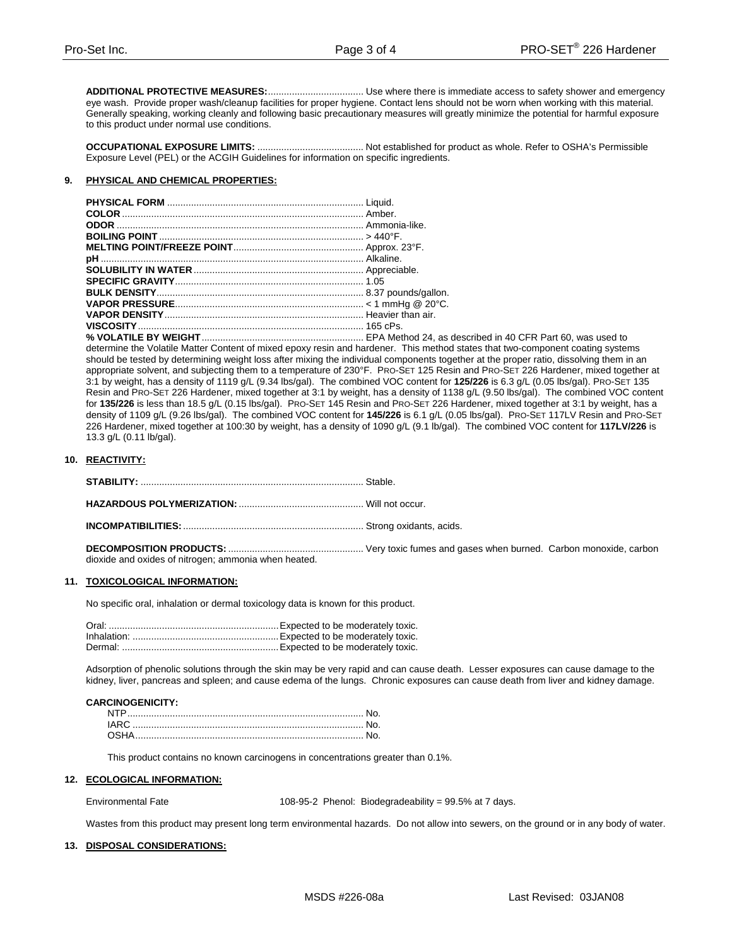**ADDITIONAL PROTECTIVE MEASURES:**.................................... Use where there is immediate access to safety shower and emergency eye wash. Provide proper wash/cleanup facilities for proper hygiene. Contact lens should not be worn when working with this material. Generally speaking, working cleanly and following basic precautionary measures will greatly minimize the potential for harmful exposure to this product under normal use conditions.

**OCCUPATIONAL EXPOSURE LIMITS:** ........................................ Not established for product as whole. Refer to OSHA's Permissible Exposure Level (PEL) or the ACGIH Guidelines for information on specific ingredients.

#### **9. PHYSICAL AND CHEMICAL PROPERTIES:**

described in 40 CFR Part 60, was used to determine the Volatile Matter Content of mixed epoxy resin and hardener. This method states that two-component coating systems should be tested by determining weight loss after mixing the individual components together at the proper ratio, dissolving them in an appropriate solvent, and subjecting them to a temperature of 230°F. PRO-SET 125 Resin and PRO-SET 226 Hardener, mixed together at 3:1 by weight, has a density of 1119 g/L (9.34 lbs/gal). The combined VOC content for **125/226** is 6.3 g/L (0.05 lbs/gal). PRO-SET 135 Resin and PRO-SET 226 Hardener, mixed together at 3:1 by weight, has a density of 1138 g/L (9.50 lbs/gal). The combined VOC content for **135/226** is less than 18.5 g/L (0.15 lbs/gal). PRO-SET 145 Resin and PRO-SET 226 Hardener, mixed together at 3:1 by weight, has a density of 1109 g/L (9.26 lbs/gal). The combined VOC content for **145/226** is 6.1 g/L (0.05 lbs/gal). PRO-SET 117LV Resin and PRO-SET 226 Hardener, mixed together at 100:30 by weight, has a density of 1090 g/L (9.1 lb/gal). The combined VOC content for **117LV/226** is 13.3 g/L (0.11 lb/gal).

#### **10. REACTIVITY:**

|--|--|

**HAZARDOUS POLYMERIZATION:** ............................................... Will not occur.

**INCOMPATIBILITIES:**.................................................................... Strong oxidants, acids.

**DECOMPOSITION PRODUCTS:** ................................................... Very toxic fumes and gases when burned. Carbon monoxide, carbon dioxide and oxides of nitrogen; ammonia when heated.

#### **11. TOXICOLOGICAL INFORMATION:**

No specific oral, inhalation or dermal toxicology data is known for this product.

Adsorption of phenolic solutions through the skin may be very rapid and can cause death. Lesser exposures can cause damage to the kidney, liver, pancreas and spleen; and cause edema of the lungs. Chronic exposures can cause death from liver and kidney damage.

#### **CARCINOGENICITY:**

This product contains no known carcinogens in concentrations greater than 0.1%.

#### **12. ECOLOGICAL INFORMATION:**

Environmental Fate 108-95-2 Phenol: Biodegradeability = 99.5% at 7 days.

Wastes from this product may present long term environmental hazards. Do not allow into sewers, on the ground or in any body of water.

## **13. DISPOSAL CONSIDERATIONS:**